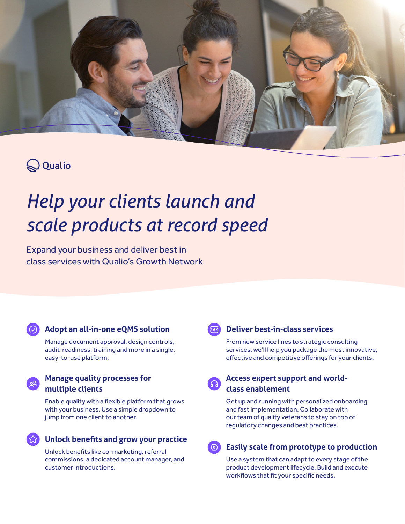

# $\bigotimes$  Qualio

# *Help your clients launch and scale products at record speed*

Expand your business and deliver best in class services with Qualio's Growth Network

### **Adopt an all-in-one eQMS solution**

Manage document approval, design controls, audit-readiness, training and more in a single, easy-to-use platform.

### **Manage quality processes for multiple clients**

Enable quality with a flexible platform that grows with your business. Use a simple dropdown to jump from one client to another.

**Unlock benefits and grow your practice**

commissions, a dedicated account manager, and customer introductions.



### **Deliver best-in-class services**

From new service lines to strategic consulting services, we'll help you package the most innovative, effective and competitive offerings for your clients.



### **Access expert support and worldclass enablement**

Get up and running with personalized onboarding and fast implementation. Collaborate with our team of quality veterans to stay on top of regulatory changes and best practices.

# **Easily scale from prototype to production** Unlock benefits like co-marketing, referral

Use a system that can adapt to every stage of the product development lifecycle. Build and execute workflows that fit your specific needs.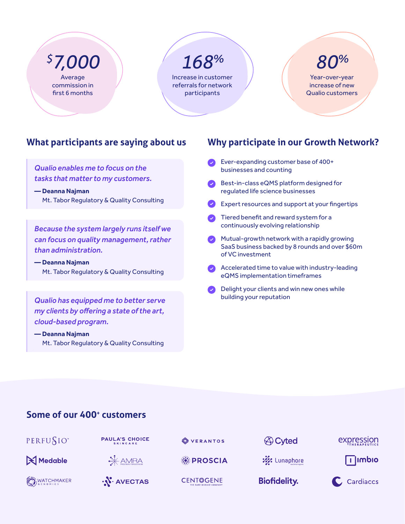Average commission in first 6 months

# *\$ 7,000 168% 80%*

Increase in customer referrals for network participants

Year-over-year increase of new Qualio customers

# **What participants are saying about us**

*Qualio enables me to focus on the tasks that matter to my customers.*

**— Deanna Najman** Mt. Tabor Regulatory & Quality Consulting

*Because the system largely runs itself we can focus on quality management, rather than administration.*

### **— Deanna Najman** Mt. Tabor Regulatory & Quality Consulting

*Qualio has equipped me to better serve my clients by offering a state of the art, cloud-based program.*

### **— Deanna Najman** Mt. Tabor Regulatory & Quality Consulting

## **Why participate in our Growth Network?**

- **Ever-expanding customer base of 400+** businesses and counting
- Best-in-class eQMS platform designed for regulated life science businesses
- Expert resources and support at your fingertips
- Tiered benefit and reward system for a continuously evolving relationship
- **Mutual-growth network with a rapidly growing** SaaS business backed by 8 rounds and over \$60m of VC investment
- Accelerated time to value with industry-leading eQMS implementation timeframes
- Delight your clients and win new ones while building your reputation

## **Some of our 400+ customers**



PAULA'S CHOICE

Medable



**SEPROSCIA** 

**CENT©GENE** 

VERANTOS

**A** Cyted



**We Lunaphore** 

**Biofidelity.** 

<u>I</u> limbio



**O**WATCHMAKER